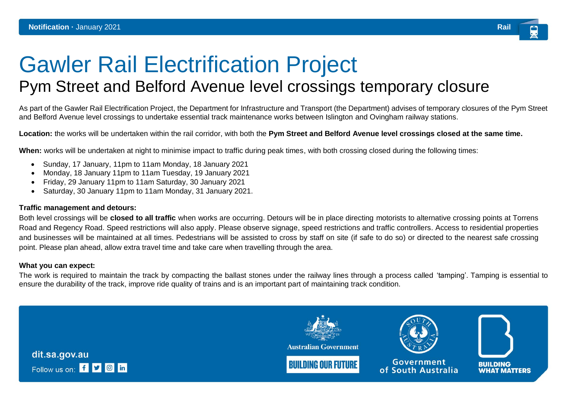# Gawler Rail Electrification Project

## Pym Street and Belford Avenue level crossings temporary closure

As part of the Gawler Rail Electrification Project, the Department for Infrastructure and Transport (the Department) advises of temporary closures of the Pym Street and Belford Avenue level crossings to undertake essential track maintenance works between Islington and Ovingham railway stations.

**Location:** the works will be undertaken within the rail corridor, with both the **Pym Street and Belford Avenue level crossings closed at the same time.**

**When:** works will be undertaken at night to minimise impact to traffic during peak times, with both crossing closed during the following times:

- Sunday, 17 January, 11pm to 11am Monday, 18 January 2021
- Monday, 18 January 11pm to 11am Tuesday, 19 January 2021
- Friday, 29 January 11pm to 11am Saturday, 30 January 2021
- Saturday, 30 January 11pm to 11am Monday, 31 January 2021.

#### **Traffic management and detours:**

Both level crossings will be **closed to all traffic** when works are occurring. Detours will be in place directing motorists to alternative crossing points at Torrens Road and Regency Road. Speed restrictions will also apply. Please observe signage, speed restrictions and traffic controllers. Access to residential properties and businesses will be maintained at all times. Pedestrians will be assisted to cross by staff on site (if safe to do so) or directed to the nearest safe crossing point. Please plan ahead, allow extra travel time and take care when travelling through the area.

#### **What you can expect:**

The work is required to maintain the track by compacting the ballast stones under the railway lines through a process called 'tamping'. Tamping is essential to ensure the durability of the track, improve ride quality of trains and is an important part of maintaining track condition.